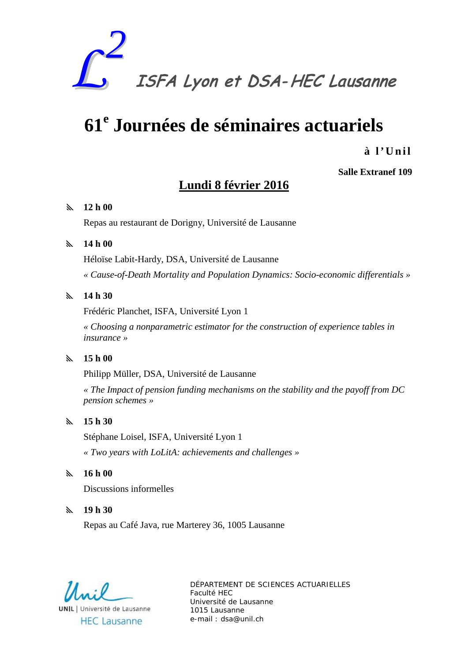

# **61<sup>e</sup> Journées de séminaires actuariels**

**à l' Unil**

## **Salle Extranef 109**

### **Lundi 8 février 2016**

#### **12 h 00**

Repas au restaurant de Dorigny, Université de Lausanne

#### **14 h 00**

Héloïse Labit-Hardy, DSA, Université de Lausanne *« Cause-of-Death Mortality and Population Dynamics: Socio-economic differentials »*

#### **14 h 30**

Frédéric Planchet, ISFA, Université Lyon 1

*« Choosing a nonparametric estimator for the construction of experience tables in insurance »* 

#### **15 h 00**

Philipp Müller, DSA, Université de Lausanne

*« The Impact of pension funding mechanisms on the stability and the payoff from DC pension schemes »* 

#### **15 h 30**

Stéphane Loisel, ISFA, Université Lyon 1

*« Two years with LoLitA: achievements and challenges »*

#### **16 h 00**

Discussions informelles

#### **19 h 30**

Repas au Café Java, rue Marterey 36, 1005 Lausanne

**UNIL** | Université de Lausanne

**HEC Lausanne**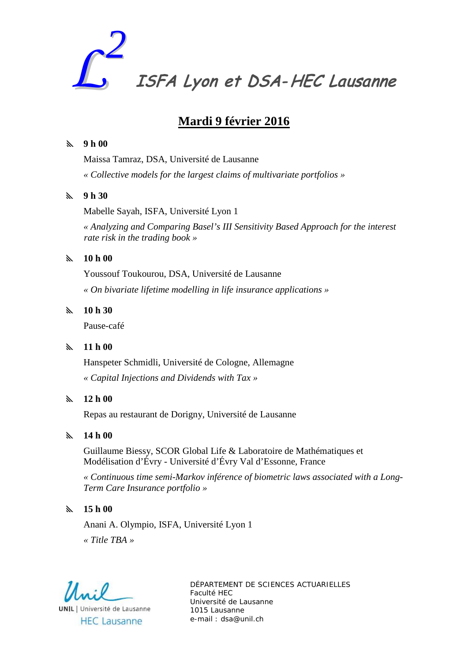

# **Mardi 9 février 2016**

#### **9 h 00**

Maissa Tamraz, DSA, Université de Lausanne *« Collective models for the largest claims of multivariate portfolios »* 

#### **9 h 30**

Mabelle Sayah, ISFA, Université Lyon 1

*« Analyzing and Comparing Basel's III Sensitivity Based Approach for the interest rate risk in the trading book »*

#### **10 h 00**

Youssouf Toukourou, DSA, Université de Lausanne *« On bivariate lifetime modelling in life insurance applications »* 

#### **10 h 30**

Pause-café

#### **11 h 00**

Hanspeter Schmidli, Université de Cologne, Allemagne *« Capital Injections and Dividends with Tax »* 

#### **12 h 00**

Repas au restaurant de Dorigny, Université de Lausanne

#### **14 h 00**

Guillaume Biessy, SCOR Global Life & Laboratoire de Mathématiques et Modélisation d'Évry - Université d'Évry Val d'Essonne, France

*« Continuous time semi-Markov inférence of biometric laws associated with a Long-Term Care Insurance portfolio »* 

#### **15 h 00**

Anani A. Olympio, ISFA, Université Lyon 1 *« Title TBA »* 

**UNIL** | Université de Lausanne **HEC Lausanne**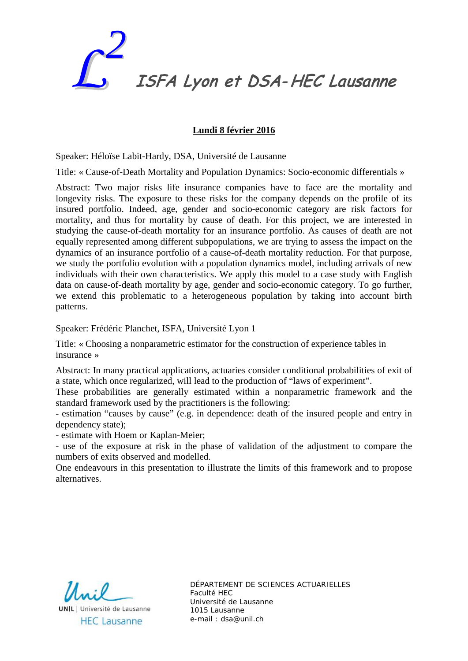

#### **Lundi 8 février 2016**

Speaker: Héloïse Labit-Hardy, DSA, Université de Lausanne

Title: « Cause-of-Death Mortality and Population Dynamics: Socio-economic differentials »

Abstract: Two major risks life insurance companies have to face are the mortality and longevity risks. The exposure to these risks for the company depends on the profile of its insured portfolio. Indeed, age, gender and socio-economic category are risk factors for mortality, and thus for mortality by cause of death. For this project, we are interested in studying the cause-of-death mortality for an insurance portfolio. As causes of death are not equally represented among different subpopulations, we are trying to assess the impact on the dynamics of an insurance portfolio of a cause-of-death mortality reduction. For that purpose, we study the portfolio evolution with a population dynamics model, including arrivals of new individuals with their own characteristics. We apply this model to a case study with English data on cause-of-death mortality by age, gender and socio-economic category. To go further, we extend this problematic to a heterogeneous population by taking into account birth patterns.

Speaker: Frédéric Planchet, ISFA, Université Lyon 1

Title: « Choosing a nonparametric estimator for the construction of experience tables in insurance »

Abstract: In many practical applications, actuaries consider conditional probabilities of exit of a state, which once regularized, will lead to the production of "laws of experiment".

These probabilities are generally estimated within a nonparametric framework and the standard framework used by the practitioners is the following:

- estimation "causes by cause" (e.g. in dependence: death of the insured people and entry in dependency state);

- estimate with Hoem or Kaplan-Meier;

- use of the exposure at risk in the phase of validation of the adjustment to compare the numbers of exits observed and modelled.

One endeavours in this presentation to illustrate the limits of this framework and to propose alternatives.

 $U \cdot 0$ **UNIL** | Université de Lausanne

**HEC Lausanne**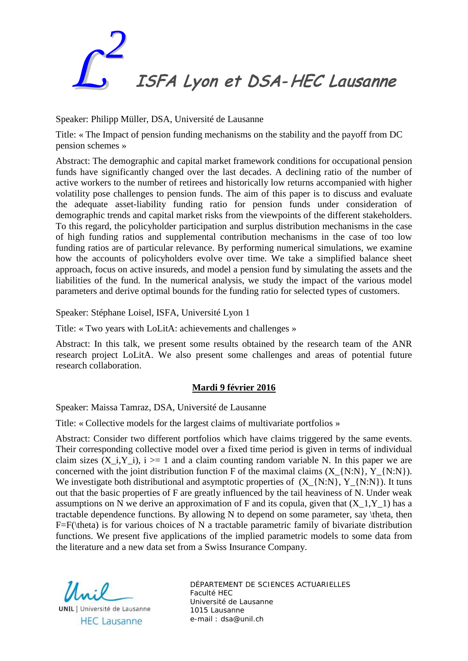

Speaker: Philipp Müller, DSA, Université de Lausanne

Title: « The Impact of pension funding mechanisms on the stability and the payoff from DC pension schemes »

Abstract: The demographic and capital market framework conditions for occupational pension funds have significantly changed over the last decades. A declining ratio of the number of active workers to the number of retirees and historically low returns accompanied with higher volatility pose challenges to pension funds. The aim of this paper is to discuss and evaluate the adequate asset-liability funding ratio for pension funds under consideration of demographic trends and capital market risks from the viewpoints of the different stakeholders. To this regard, the policyholder participation and surplus distribution mechanisms in the case of high funding ratios and supplemental contribution mechanisms in the case of too low funding ratios are of particular relevance. By performing numerical simulations, we examine how the accounts of policyholders evolve over time. We take a simplified balance sheet approach, focus on active insureds, and model a pension fund by simulating the assets and the liabilities of the fund. In the numerical analysis, we study the impact of the various model parameters and derive optimal bounds for the funding ratio for selected types of customers.

Speaker: Stéphane Loisel, ISFA, Université Lyon 1

Title: « Two years with LoLitA: achievements and challenges »

Abstract: In this talk, we present some results obtained by the research team of the ANR research project LoLitA. We also present some challenges and areas of potential future research collaboration.

#### **Mardi 9 février 2016**

Speaker: Maissa Tamraz, DSA, Université de Lausanne

Title: « Collective models for the largest claims of multivariate portfolios »

Abstract: Consider two different portfolios which have claims triggered by the same events. Their corresponding collective model over a fixed time period is given in terms of individual claim sizes (X, i,Y, i),  $i \geq 1$  and a claim counting random variable N. In this paper we are concerned with the joint distribution function F of the maximal claims  $(X_{\{N:N\}}, Y_{\{N:N\}})$ . We investigate both distributional and asymptotic properties of  $(X_{N: N}, Y_{N: N})$ . It tuns out that the basic properties of F are greatly influenced by the tail heaviness of N. Under weak assumptions on N we derive an approximation of F and its copula, given that  $(X_1, Y_1)$  has a tractable dependence functions. By allowing N to depend on some parameter, say \theta, then F=F(\theta) is for various choices of N a tractable parametric family of bivariate distribution functions. We present five applications of the implied parametric models to some data from the literature and a new data set from a Swiss Insurance Company.

**UNIL** | Université de Lausanne **HEC Lausanne**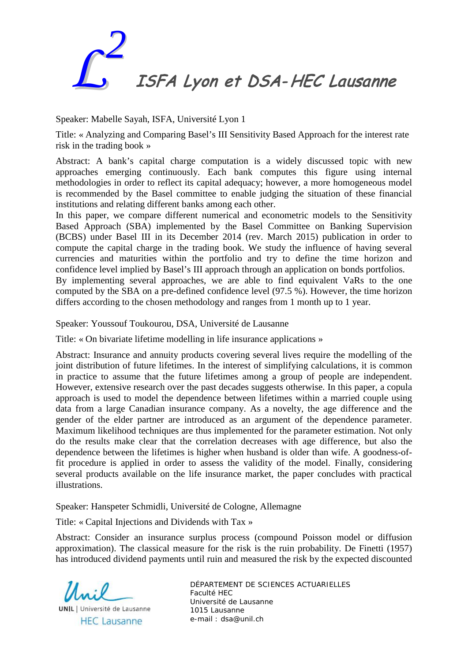

Speaker: Mabelle Sayah, ISFA, Université Lyon 1

Title: « Analyzing and Comparing Basel's III Sensitivity Based Approach for the interest rate risk in the trading book »

Abstract: A bank's capital charge computation is a widely discussed topic with new approaches emerging continuously. Each bank computes this figure using internal methodologies in order to reflect its capital adequacy; however, a more homogeneous model is recommended by the Basel committee to enable judging the situation of these financial institutions and relating different banks among each other.

In this paper, we compare different numerical and econometric models to the Sensitivity Based Approach (SBA) implemented by the Basel Committee on Banking Supervision (BCBS) under Basel III in its December 2014 (rev. March 2015) publication in order to compute the capital charge in the trading book. We study the influence of having several currencies and maturities within the portfolio and try to define the time horizon and confidence level implied by Basel's III approach through an application on bonds portfolios.

By implementing several approaches, we are able to find equivalent VaRs to the one computed by the SBA on a pre-defined confidence level (97.5 %). However, the time horizon differs according to the chosen methodology and ranges from 1 month up to 1 year.

Speaker: Youssouf Toukourou, DSA, Université de Lausanne

Title: « On bivariate lifetime modelling in life insurance applications »

Abstract: Insurance and annuity products covering several lives require the modelling of the joint distribution of future lifetimes. In the interest of simplifying calculations, it is common in practice to assume that the future lifetimes among a group of people are independent. However, extensive research over the past decades suggests otherwise. In this paper, a copula approach is used to model the dependence between lifetimes within a married couple using data from a large Canadian insurance company. As a novelty, the age difference and the gender of the elder partner are introduced as an argument of the dependence parameter. Maximum likelihood techniques are thus implemented for the parameter estimation. Not only do the results make clear that the correlation decreases with age difference, but also the dependence between the lifetimes is higher when husband is older than wife. A goodness-offit procedure is applied in order to assess the validity of the model. Finally, considering several products available on the life insurance market, the paper concludes with practical illustrations.

Speaker: Hanspeter Schmidli, Université de Cologne, Allemagne

Title: « Capital Injections and Dividends with Tax »

Abstract: Consider an insurance surplus process (compound Poisson model or diffusion approximation). The classical measure for the risk is the ruin probability. De Finetti (1957) has introduced dividend payments until ruin and measured the risk by the expected discounted

**UNIL** | Université de Lausanne **HEC Lausanne**